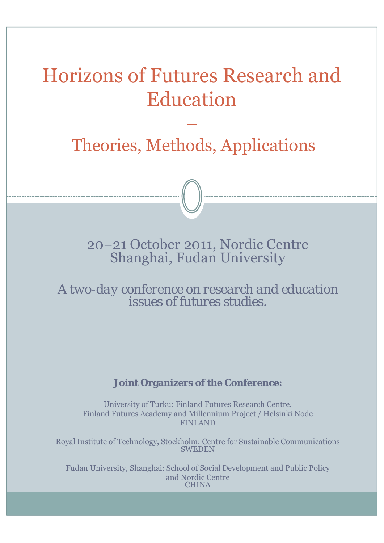# Horizons of Futures Research and Education

## Theories, Methods, Applications

−

20−21 October 2011, Nordic Centre Shanghai, Fudan University

*A two-day conference on research and education issues of futures studies.* 

### **Joint Organizers of the Conference:**

University of Turku: Finland Futures Research Centre, Finland Futures Academy and Millennium Project / Helsinki Node FINLAND

Royal Institute of Technology, Stockholm: Centre for Sustainable Communications **SWEDEN** 

Fudan University, Shanghai: School of Social Development and Public Policy and Nordic Centre **CHINA**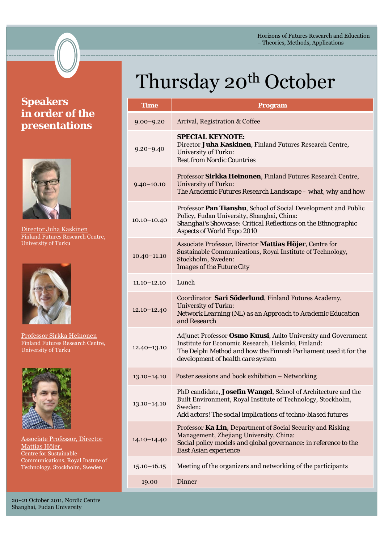Horizons of Futures Research and Education − Theories, Methods, Applications

## **Speakers in order of the presentations**



Director Juha Kaskinen Finland Futures Research Centre, University of Turku



Professor Sirkka Heinonen Finland Futures Research Centre, University of Turku



Associate Professor, Director Mattias Höjer, Centre for Sustainable Communications, Royal Instute of Technology, Stockholm, Sweden

20−21 October 2011, Nordic Centre Shanghai, Fudan University

# Thursday 20<sup>th</sup> October

| <b>Time</b>     | <b>Program</b>                                                                                                                                                                                                                |
|-----------------|-------------------------------------------------------------------------------------------------------------------------------------------------------------------------------------------------------------------------------|
| $9.00 - 9.20$   | Arrival, Registration & Coffee                                                                                                                                                                                                |
| $9.20 - 9.40$   | <b>SPECIAL KEYNOTE:</b><br>Director Juha Kaskinen, Finland Futures Research Centre,<br>University of Turku:<br><b>Best from Nordic Countries</b>                                                                              |
| $9.40 - 10.10$  | Professor Sirkka Heinonen, Finland Futures Research Centre,<br>University of Turku:<br>The Academic Futures Research Landscape - what, why and how                                                                            |
| $10.10 - 10.40$ | Professor Pan Tianshu, School of Social Development and Public<br>Policy, Fudan University, Shanghai, China:<br>Shanghai's Showcase: Critical Reflections on the Ethnographic<br><b>Aspects of World Expo 2010</b>            |
| $10.40 - 11.10$ | Associate Professor, Director Mattias Höjer, Centre for<br>Sustainable Communications, Royal Institute of Technology,<br>Stockholm, Sweden:<br><b>Images of the Future City</b>                                               |
| $11.10 - 12.10$ | Lunch                                                                                                                                                                                                                         |
| $12.10 - 12.40$ | Coordinator Sari Söderlund, Finland Futures Academy,<br>University of Turku:<br>Network Learning (NL) as an Approach to Academic Education<br>and Research                                                                    |
| $12.40 - 13.10$ | Adjunct Professor Osmo Kuusi, Aalto University and Government<br>Institute for Economic Research, Helsinki, Finland:<br>The Delphi Method and how the Finnish Parliament used it for the<br>development of health care system |
| $13.10 - 14.10$ | Poster sessions and book exhibition – Networking                                                                                                                                                                              |
| $13.10 - 14.10$ | PhD candidate, Josefin Wangel, School of Architecture and the<br>Built Environment, Royal Institute of Technology, Stockholm,<br>Sweden:<br>Add actors! The social implications of techno-biased futures                      |
| $14.10 - 14.40$ | Professor Ka Lin, Department of Social Security and Risking<br>Management, Zhejiang University, China:<br>Social policy models and global governance: in reference to the<br>East Asian experience                            |
| $15.10 - 16.15$ | Meeting of the organizers and networking of the participants                                                                                                                                                                  |
| 19.00           | Dinner                                                                                                                                                                                                                        |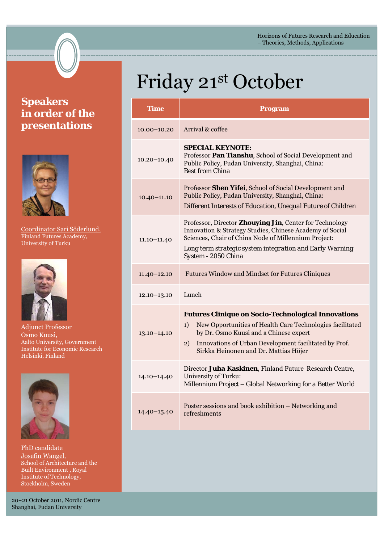Horizons of Futures Research and Education − Theories, Methods, Applications

## **Speakers in order of the presentations**



Coordinator Sari Söderlund, Finland Futures Academy, University of Turku



Adjunct Professor Osmo Kuusi, Aalto University, Government Institute for Economic Research Helsinki, Finland



PhD candidate Josefin Wangel, School of Architecture and the Built Environment , Royal Institute of Technology, Stockholm, Sweden

20−21 October 2011, Nordic Centre Shanghai, Fudan University

# Friday 21st October

| Time            | Program                                                                                                                                                                                                                                                                         |
|-----------------|---------------------------------------------------------------------------------------------------------------------------------------------------------------------------------------------------------------------------------------------------------------------------------|
| $10.00 - 10.20$ | Arrival & coffee                                                                                                                                                                                                                                                                |
| $10.20 - 10.40$ | <b>SPECIAL KEYNOTE:</b><br>Professor Pan Tianshu, School of Social Development and<br>Public Policy, Fudan University, Shanghai, China:<br><b>Best from China</b>                                                                                                               |
| $10.40 - 11.10$ | Professor Shen Yifei, School of Social Development and<br>Public Policy, Fudan University, Shanghai, China:<br>Different Interests of Education, Unequal Future of Children                                                                                                     |
| $11.10 - 11.40$ | Professor, Director Zhouying Jin, Center for Technology<br>Innovation & Strategy Studies, Chinese Academy of Social<br>Sciences, Chair of China Node of Millennium Project:<br>Long term strategic system integration and Early Warning<br>System - 2050 China                  |
| $11.40 - 12.10$ | <b>Futures Window and Mindset for Futures Cliniques</b>                                                                                                                                                                                                                         |
| $12.10 - 13.10$ | Lunch                                                                                                                                                                                                                                                                           |
| $13.10 - 14.10$ | <b>Futures Clinique on Socio-Technological Innovations</b><br>New Opportunities of Health Care Technologies facilitated<br>1)<br>by Dr. Osmo Kuusi and a Chinese expert<br>Innovations of Urban Development facilitated by Prof.<br>2)<br>Sirkka Heinonen and Dr. Mattias Höjer |
| $14.10 - 14.40$ | Director Juha Kaskinen, Finland Future Research Centre,<br>University of Turku:<br>Millennium Project - Global Networking for a Better World                                                                                                                                    |
| $14.40 - 15.40$ | Poster sessions and book exhibition – Networking and<br>refreshments                                                                                                                                                                                                            |